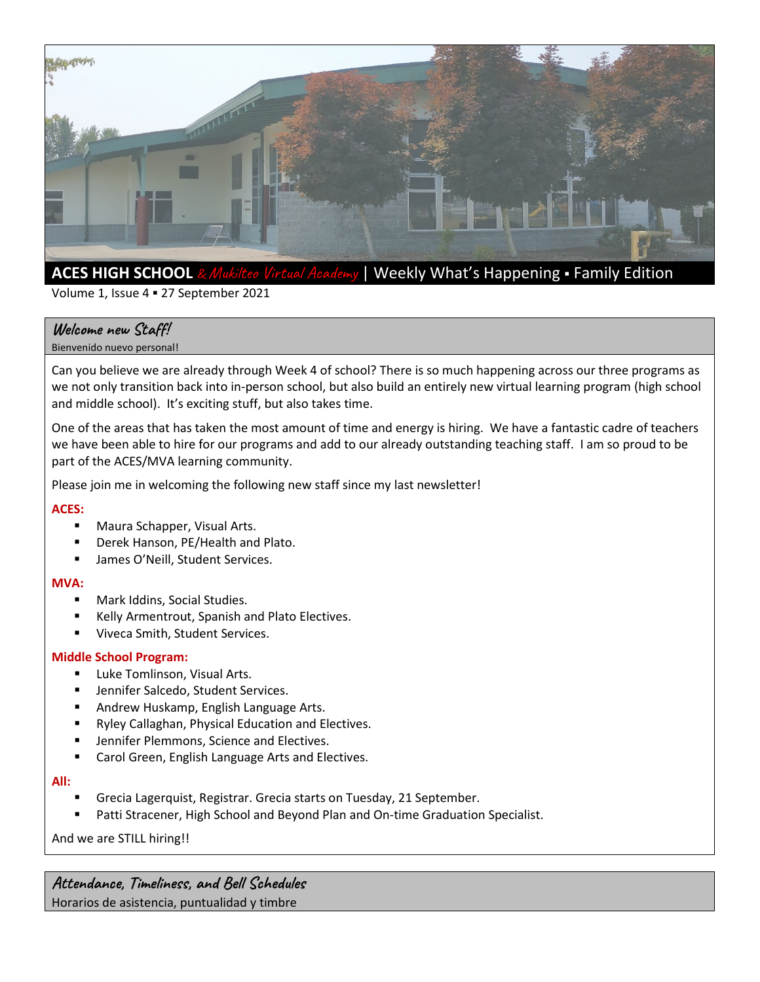

# Volume 1, Issue 4 = 27 September 2021

#### **Welcome new Staff!**

#### Bienvenido nuevo personal!

Can you believe we are already through Week 4 of school? There is so much happening across our three programs as we not only transition back into in-person school, but also build an entirely new virtual learning program (high school and middle school). It's exciting stuff, but also takes time.

One of the areas that has taken the most amount of time and energy is hiring. We have a fantastic cadre of teachers we have been able to hire for our programs and add to our already outstanding teaching staff. I am so proud to be part of the ACES/MVA learning community.

Please join me in welcoming the following new staff since my last newsletter!

#### **ACES:**

- **Maura Schapper, Visual Arts.**
- **Derek Hanson, PE/Health and Plato.**
- **James O'Neill, Student Services.**

#### **MVA:**

- **Mark Iddins, Social Studies.**
- **EXECT** Kelly Armentrout, Spanish and Plato Electives.
- **Viveca Smith, Student Services.**

#### **Middle School Program:**

- **Luke Tomlinson, Visual Arts.**
- **EXEC** Jennifer Salcedo, Student Services.
- **Andrew Huskamp, English Language Arts.**
- **Ryley Callaghan, Physical Education and Electives.**
- Jennifer Plemmons, Science and Electives.
- **E** Carol Green, English Language Arts and Electives.

#### **All:**

- Grecia Lagerquist, Registrar. Grecia starts on Tuesday, 21 September.
- Patti Stracener, High School and Beyond Plan and On-time Graduation Specialist.

And we are STILL hiring!!

**Attendance, Timeliness, and Bell Schedules** Horarios de asistencia, puntualidad y timbre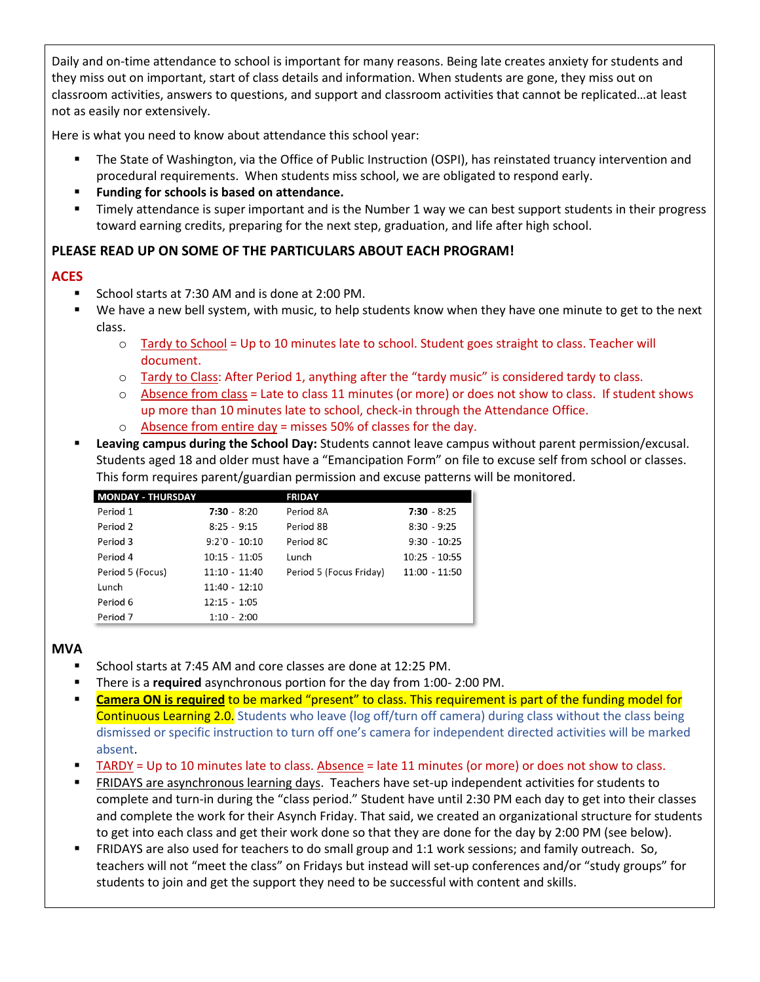Daily and on-time attendance to school is important for many reasons. Being late creates anxiety for students and they miss out on important, start of class details and information. When students are gone, they miss out on classroom activities, answers to questions, and support and classroom activities that cannot be replicated…at least not as easily nor extensively.

Here is what you need to know about attendance this school year:

- The State of Washington, via the Office of Public Instruction (OSPI), has reinstated truancy intervention and procedural requirements. When students miss school, we are obligated to respond early.
- **Funding for schools is based on attendance.**
- Timely attendance is super important and is the Number 1 way we can best support students in their progress toward earning credits, preparing for the next step, graduation, and life after high school.

## **PLEASE READ UP ON SOME OF THE PARTICULARS ABOUT EACH PROGRAM!**

### **ACES**

- School starts at 7:30 AM and is done at 2:00 PM.
- We have a new bell system, with music, to help students know when they have one minute to get to the next class.
	- $\circ$  Tardy to School = Up to 10 minutes late to school. Student goes straight to class. Teacher will document.
	- o Tardy to Class: After Period 1, anything after the "tardy music" is considered tardy to class.
	- $\circ$  Absence from class = Late to class 11 minutes (or more) or does not show to class. If student shows up more than 10 minutes late to school, check-in through the Attendance Office.
	- $\circ$  Absence from entire day = misses 50% of classes for the day.
- **Leaving campus during the School Day:** Students cannot leave campus without parent permission/excusal. Students aged 18 and older must have a "Emancipation Form" on file to excuse self from school or classes. This form requires parent/guardian permission and excuse patterns will be monitored.

| <b>MONDAY - THURSDAY</b> |                 | <b>FRIDAY</b>           |                 |
|--------------------------|-----------------|-------------------------|-----------------|
| Period 1                 | $7:30 - 8:20$   | Period 8A               | $7:30 - 8:25$   |
| Period 2                 | $8:25 - 9:15$   | Period 8B               | $8:30 - 9:25$   |
| Period 3                 | $9:2^0 - 10:10$ | Period 8C               | $9:30 - 10:25$  |
| Period 4                 | $10:15 - 11:05$ | Lunch                   | $10:25 - 10:55$ |
| Period 5 (Focus)         | $11:10 - 11:40$ | Period 5 (Focus Friday) | $11:00 - 11:50$ |
| Lunch                    | $11:40 - 12:10$ |                         |                 |
| Period 6                 | $12:15 - 1:05$  |                         |                 |
| Period 7                 | $1:10 - 2:00$   |                         |                 |

### **MVA**

- School starts at 7:45 AM and core classes are done at 12:25 PM.
- There is a **required** asynchronous portion for the day from 1:00- 2:00 PM.
- **Camera ON is required** to be marked "present" to class. This requirement is part of the funding model for Continuous Learning 2.0. Students who leave (log off/turn off camera) during class without the class being dismissed or specific instruction to turn off one's camera for independent directed activities will be marked absent.
- TARDY = Up to 10 minutes late to class. Absence = late 11 minutes (or more) or does not show to class.
- FRIDAYS are asynchronous learning days. Teachers have set-up independent activities for students to complete and turn-in during the "class period." Student have until 2:30 PM each day to get into their classes and complete the work for their Asynch Friday. That said, we created an organizational structure for students to get into each class and get their work done so that they are done for the day by 2:00 PM (see below).
- FRIDAYS are also used for teachers to do small group and 1:1 work sessions; and family outreach. So, teachers will not "meet the class" on Fridays but instead will set-up conferences and/or "study groups" for students to join and get the support they need to be successful with content and skills.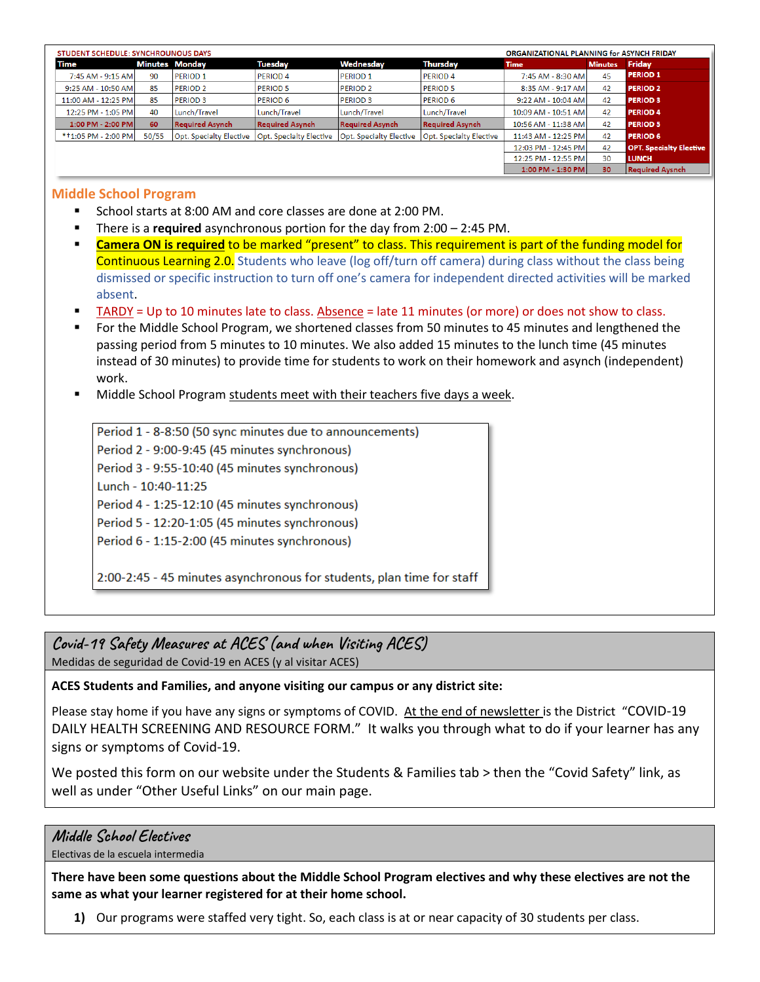| ORGANIZATIONAL PLANNING for ASYNCH FRIDAY<br><b>STUDENT SCHEDULE: SYNCHROUNOUS DAYS</b> |       |                         |                         |                         |                         |                     |                |                                |  |
|-----------------------------------------------------------------------------------------|-------|-------------------------|-------------------------|-------------------------|-------------------------|---------------------|----------------|--------------------------------|--|
| Time                                                                                    |       | <b>Minutes Monday</b>   | Tuesday                 | Wednesday               | Thursday                | <b>Time</b>         | <b>Minutes</b> | Friday                         |  |
| 7:45 AM - 9:15 AM                                                                       | 90    | <b>PERIOD 1</b>         | <b>PERIOD 4</b>         | <b>PERIOD 1</b>         | <b>PERIOD 4</b>         | 7:45 AM - 8:30 AM   | 45             | <b>PERIOD 1</b>                |  |
| 9:25 AM - 10:50 AM                                                                      | 85    | <b>PERIOD 2</b>         | <b>PERIOD 5</b>         | <b>PERIOD 2</b>         | <b>PERIOD 5</b>         | 8:35 AM - 9:17 AM   | 42             | <b>PERIOD 2</b>                |  |
| 11:00 AM - 12:25 PM                                                                     | 85    | <b>PERIOD 3</b>         | <b>PERIOD 6</b>         | <b>PERIOD 3</b>         | <b>PERIOD 6</b>         | 9:22 AM - 10:04 AM  | 42             | <b>PERIOD 3</b>                |  |
| 12:25 PM - 1:05 PM                                                                      | 40    | Lunch/Travel            | Lunch/Travel            | Lunch/Travel            | Lunch/Travel            | 10:09 AM - 10:51 AM | 42             | <b>PERIOD 4</b>                |  |
| 1:00 PM - 2:00 PM                                                                       | 60    | <b>Required Asynch</b>  | <b>Required Asynch</b>  | <b>Required Asynch</b>  | <b>Required Asynch</b>  | 10:56 AM - 11:38 AM | 42             | <b>PERIOD 5</b>                |  |
| * + 1:05 PM - 2:00 PM                                                                   | 50/55 | Opt. Specialty Elective | Opt. Specialty Elective | Opt. Specialty Elective | Opt. Specialty Elective | 11:43 AM - 12:25 PM | 42             | <b>PERIOD 6</b>                |  |
|                                                                                         |       |                         |                         |                         |                         | 12:03 PM - 12:45 PM | 42             | <b>OPT.</b> Specialty Elective |  |
|                                                                                         |       |                         |                         |                         |                         | 12:25 PM - 12:55 PM | 30             | <b>LUNCH</b>                   |  |
|                                                                                         |       |                         |                         |                         |                         | 1:00 PM - 1:30 PM   | 30             | <b>Required Aysnch</b>         |  |

### **Middle School Program**

- School starts at 8:00 AM and core classes are done at 2:00 PM.
- There is a **required** asynchronous portion for the day from 2:00 2:45 PM.
- **Camera ON is required** to be marked "present" to class. This requirement is part of the funding model for Continuous Learning 2.0. Students who leave (log off/turn off camera) during class without the class being dismissed or specific instruction to turn off one's camera for independent directed activities will be marked absent.
- TARDY = Up to 10 minutes late to class. Absence = late 11 minutes (or more) or does not show to class.
- For the Middle School Program, we shortened classes from 50 minutes to 45 minutes and lengthened the passing period from 5 minutes to 10 minutes. We also added 15 minutes to the lunch time (45 minutes instead of 30 minutes) to provide time for students to work on their homework and asynch (independent) work.
- Middle School Program students meet with their teachers five days a week.

Period 1 - 8-8:50 (50 sync minutes due to announcements) Period 2 - 9:00-9:45 (45 minutes synchronous) Period 3 - 9:55-10:40 (45 minutes synchronous) Lunch - 10:40-11:25 Period 4 - 1:25-12:10 (45 minutes synchronous) Period 5 - 12:20-1:05 (45 minutes synchronous) Period 6 - 1:15-2:00 (45 minutes synchronous)

2:00-2:45 - 45 minutes asynchronous for students, plan time for staff

**Covid-19 Safety Measures at ACES (and when Visiting ACES)** Medidas de seguridad de Covid-19 en ACES (y al visitar ACES)

**ACES Students and Families, and anyone visiting our campus or any district site:**

Please stay home if you have any signs or symptoms of COVID. At the end of newsletter is the District "COVID-19 DAILY HEALTH SCREENING AND RESOURCE FORM." It walks you through what to do if your learner has any signs or symptoms of Covid-19.

We posted this form on our website under the Students & Families tab > then the "Covid Safety" link, as well as under "Other Useful Links" on our main page.

## **Middle School Electives**

Electivas de la escuela intermedia

**There have been some questions about the Middle School Program electives and why these electives are not the same as what your learner registered for at their home school.**

**1)** Our programs were staffed very tight. So, each class is at or near capacity of 30 students per class.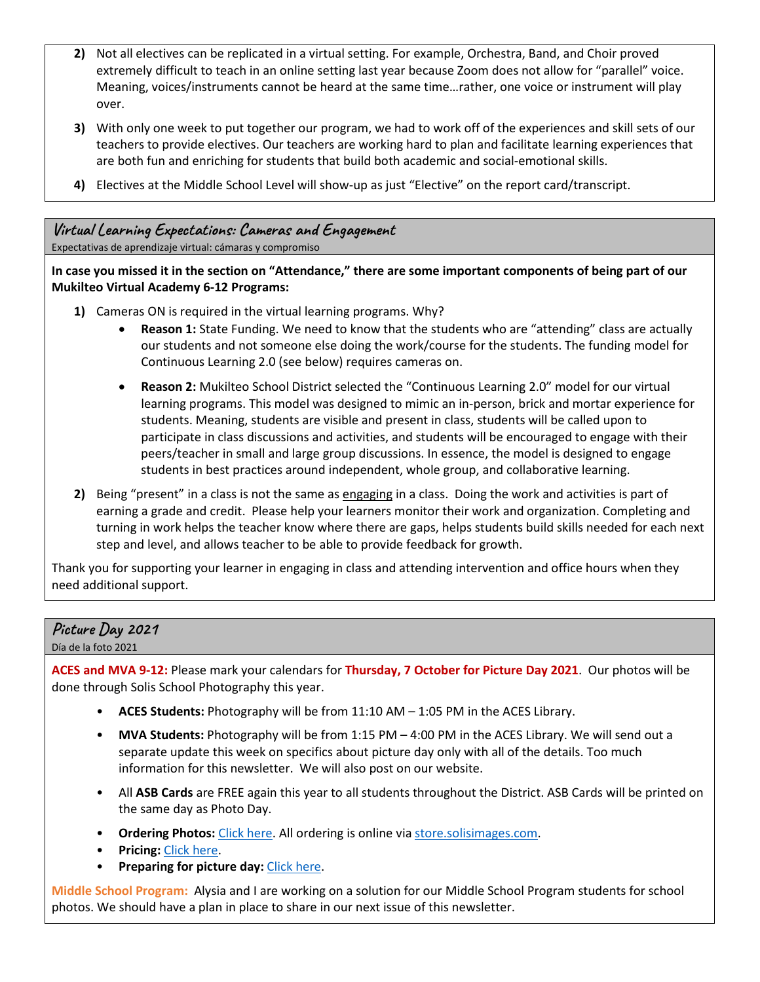- **2)** Not all electives can be replicated in a virtual setting. For example, Orchestra, Band, and Choir proved extremely difficult to teach in an online setting last year because Zoom does not allow for "parallel" voice. Meaning, voices/instruments cannot be heard at the same time…rather, one voice or instrument will play over.
- **3)** With only one week to put together our program, we had to work off of the experiences and skill sets of our teachers to provide electives. Our teachers are working hard to plan and facilitate learning experiences that are both fun and enriching for students that build both academic and social-emotional skills.
- **4)** Electives at the Middle School Level will show-up as just "Elective" on the report card/transcript.

# **Virtual Learning Expectations: Cameras and Engagement**

Expectativas de aprendizaje virtual: cámaras y compromiso

**In case you missed it in the section on "Attendance," there are some important components of being part of our Mukilteo Virtual Academy 6-12 Programs:**

- **1)** Cameras ON is required in the virtual learning programs. Why?
	- **Reason 1:** State Funding. We need to know that the students who are "attending" class are actually our students and not someone else doing the work/course for the students. The funding model for Continuous Learning 2.0 (see below) requires cameras on.
	- **Reason 2:** Mukilteo School District selected the "Continuous Learning 2.0" model for our virtual learning programs. This model was designed to mimic an in-person, brick and mortar experience for students. Meaning, students are visible and present in class, students will be called upon to participate in class discussions and activities, and students will be encouraged to engage with their peers/teacher in small and large group discussions. In essence, the model is designed to engage students in best practices around independent, whole group, and collaborative learning.
- **2)** Being "present" in a class is not the same as engaging in a class. Doing the work and activities is part of earning a grade and credit. Please help your learners monitor their work and organization. Completing and turning in work helps the teacher know where there are gaps, helps students build skills needed for each next step and level, and allows teacher to be able to provide feedback for growth.

Thank you for supporting your learner in engaging in class and attending intervention and office hours when they need additional support.

## **Picture Day 2021**

Día de la foto 2021

**ACES and MVA 9-12:** Please mark your calendars for **Thursday, 7 October for Picture Day 2021**. Our photos will be done through Solis School Photography this year.

- **ACES Students:** Photography will be from 11:10 AM 1:05 PM in the ACES Library.
- **MVA Students:** Photography will be from 1:15 PM 4:00 PM in the ACES Library. We will send out a separate update this week on specifics about picture day only with all of the details. Too much information for this newsletter. We will also post on our website.
- All **ASB Cards** are FREE again this year to all students throughout the District. ASB Cards will be printed on the same day as Photo Day.
- **Ordering Photos:** [Click here.](https://drive.google.com/file/d/1ceiQVIdKMrCnDmARXV6Q7xh9unCjpdlu/view) All ordering is online vi[a store.solisimages.com.](https://vando.imagequix.com/B9SRC9B)
- **Pricing:** [Click here.](https://drive.google.com/file/d/1EFtqHjoU32FJVWnk4ZHX805rIwUtPzlo/view)
- **Preparing for picture day:** [Click here.](https://drive.google.com/file/d/1QQ6wDIMc3oJP7hjuI9zyuuIcEFxVp5BU/view)

**Middle School Program:** Alysia and I are working on a solution for our Middle School Program students for school photos. We should have a plan in place to share in our next issue of this newsletter.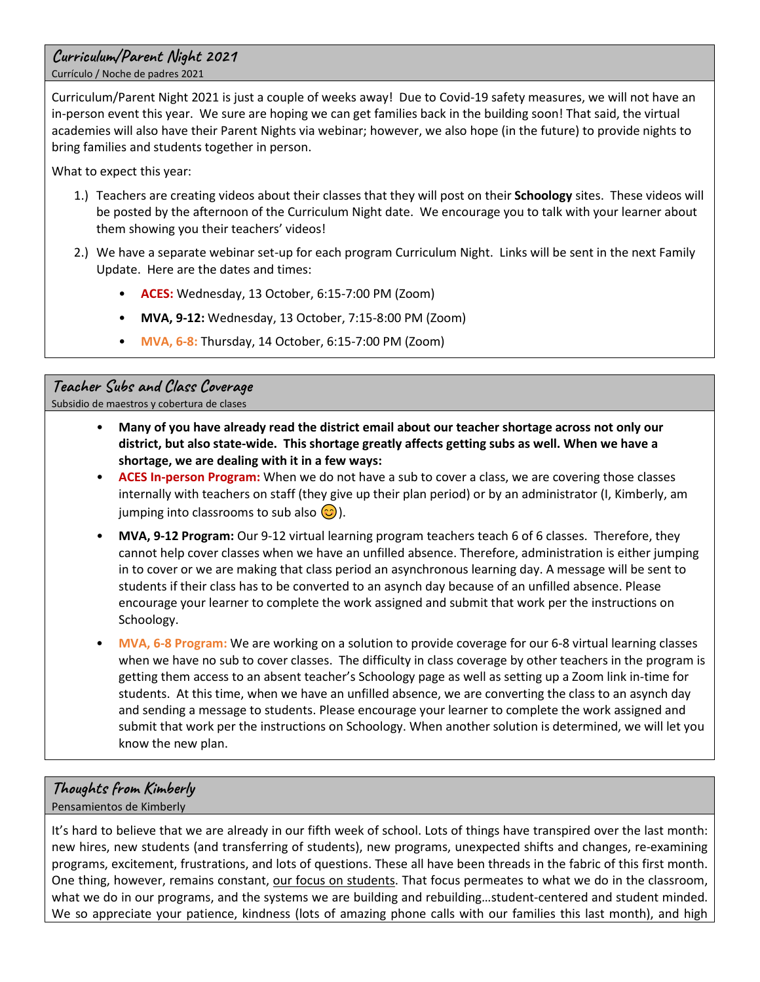## **Curriculum/Parent Night 2021** Currículo / Noche de padres 2021

Curriculum/Parent Night 2021 is just a couple of weeks away! Due to Covid-19 safety measures, we will not have an in-person event this year. We sure are hoping we can get families back in the building soon! That said, the virtual academies will also have their Parent Nights via webinar; however, we also hope (in the future) to provide nights to bring families and students together in person.

What to expect this year:

- 1.) Teachers are creating videos about their classes that they will post on their **Schoology** sites. These videos will be posted by the afternoon of the Curriculum Night date. We encourage you to talk with your learner about them showing you their teachers' videos!
- 2.) We have a separate webinar set-up for each program Curriculum Night. Links will be sent in the next Family Update. Here are the dates and times:
	- **ACES:** Wednesday, 13 October, 6:15-7:00 PM (Zoom)
	- **MVA, 9-12:** Wednesday, 13 October, 7:15-8:00 PM (Zoom)
	- **MVA, 6-8:** Thursday, 14 October, 6:15-7:00 PM (Zoom)

## **Teacher Subs and Class Coverage**

Subsidio de maestros y cobertura de clases

- **Many of you have already read the district email about our teacher shortage across not only our district, but also state-wide. This shortage greatly affects getting subs as well. When we have a shortage, we are dealing with it in a few ways:**
- **ACES In-person Program:** When we do not have a sub to cover a class, we are covering those classes internally with teachers on staff (they give up their plan period) or by an administrator (I, Kimberly, am jumping into classrooms to sub also  $\circled{c}$ ).
- **MVA, 9-12 Program:** Our 9-12 virtual learning program teachers teach 6 of 6 classes. Therefore, they cannot help cover classes when we have an unfilled absence. Therefore, administration is either jumping in to cover or we are making that class period an asynchronous learning day. A message will be sent to students if their class has to be converted to an asynch day because of an unfilled absence. Please encourage your learner to complete the work assigned and submit that work per the instructions on Schoology.
- **MVA, 6-8 Program:** We are working on a solution to provide coverage for our 6-8 virtual learning classes when we have no sub to cover classes. The difficulty in class coverage by other teachers in the program is getting them access to an absent teacher's Schoology page as well as setting up a Zoom link in-time for students. At this time, when we have an unfilled absence, we are converting the class to an asynch day and sending a message to students. Please encourage your learner to complete the work assigned and submit that work per the instructions on Schoology. When another solution is determined, we will let you know the new plan.

## **Thoughts from Kimberly**

Pensamientos de Kimberly

It's hard to believe that we are already in our fifth week of school. Lots of things have transpired over the last month: new hires, new students (and transferring of students), new programs, unexpected shifts and changes, re-examining programs, excitement, frustrations, and lots of questions. These all have been threads in the fabric of this first month. One thing, however, remains constant, our focus on students. That focus permeates to what we do in the classroom, what we do in our programs, and the systems we are building and rebuilding…student-centered and student minded. We so appreciate your patience, kindness (lots of amazing phone calls with our families this last month), and high